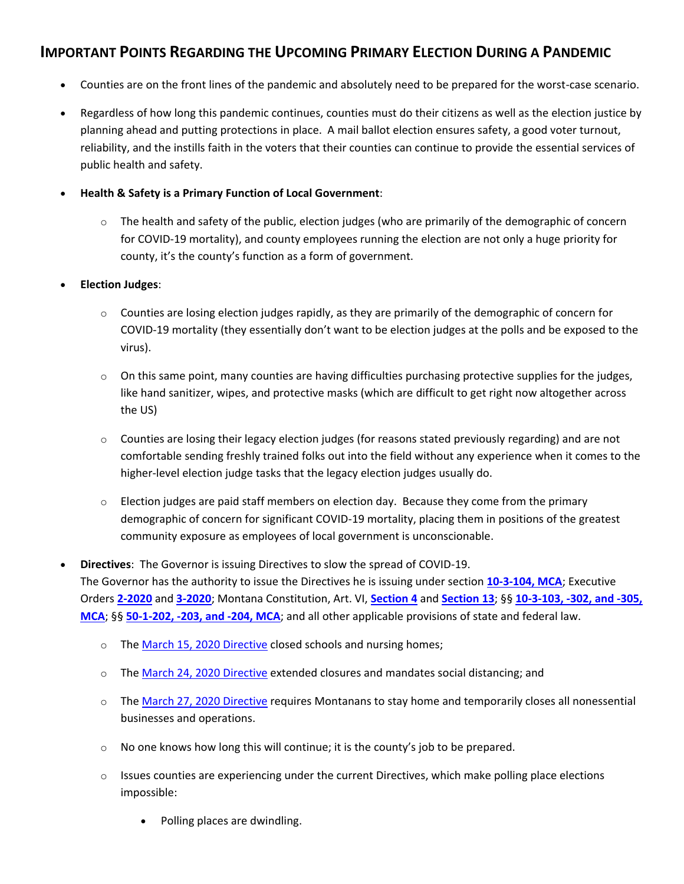## **IMPORTANT POINTS REGARDING THE UPCOMING PRIMARY ELECTION DURING A PANDEMIC**

- Counties are on the front lines of the pandemic and absolutely need to be prepared for the worst-case scenario.
- Regardless of how long this pandemic continues, counties must do their citizens as well as the election justice by planning ahead and putting protections in place. A mail ballot election ensures safety, a good voter turnout, reliability, and the instills faith in the voters that their counties can continue to provide the essential services of public health and safety.

## • **Health & Safety is a Primary Function of Local Government**:

 $\circ$  The health and safety of the public, election judges (who are primarily of the demographic of concern for COVID-19 mortality), and county employees running the election are not only a huge priority for county, it's the county's function as a form of government.

## • **Election Judges**:

- $\circ$  Counties are losing election judges rapidly, as they are primarily of the demographic of concern for COVID-19 mortality (they essentially don't want to be election judges at the polls and be exposed to the virus).
- $\circ$  On this same point, many counties are having difficulties purchasing protective supplies for the judges, like hand sanitizer, wipes, and protective masks (which are difficult to get right now altogether across the US)
- $\circ$  Counties are losing their legacy election judges (for reasons stated previously regarding) and are not comfortable sending freshly trained folks out into the field without any experience when it comes to the higher-level election judge tasks that the legacy election judges usually do.
- $\circ$  Election judges are paid staff members on election day. Because they come from the primary demographic of concern for significant COVID-19 mortality, placing them in positions of the greatest community exposure as employees of local government is unconscionable.

## • **Directives**: The Governor is issuing Directives to slow the spread of COVID-19. The Governor has the authority to issue the Directives he is issuing under section **[10-3-104, MCA](https://leg.mt.gov/bills/mca/title_0100/chapter_0030/part_0010/section_0040/0100-0030-0010-0040.html)**; Executive Orders **[2-2020](http://governor.mt.gov/Portals/16/docs/2020EOs/EO-02-2020_COVID-19%20Emergency%20Declaration.pdf?ver=2020-03-13-103433-047)** and **[3-2020](http://governor.mt.gov/Portals/16/docs/2020EOs/EO-03-2020_Amending%20COVID-19%20Emergency%20Declaration.pdf?ver=2020-03-18-114433-983)**; Montana Constitution, Art. VI, **[Section 4](https://leg.mt.gov/bills/mca/title_0000/article_0060/part_0010/section_0040/0000-0060-0010-0040.html)** and **[Section 13](https://leg.mt.gov/bills/mca/title_0000/article_0060/part_0010/section_0130/0000-0060-0010-0130.html)**; §§ **[10-3-103, -302, and -305,](https://leg.mt.gov/bills/mca/title_0100/chapter_0030/parts_index.html)  [MCA](https://leg.mt.gov/bills/mca/title_0100/chapter_0030/parts_index.html)**; §§ **[50-1-202, -203, and -204, MCA](https://leg.mt.gov/bills/mca/title_0500/chapter_0010/part_0020/sections_index.html)**; and all other applicable provisions of state and federal law.

- o The [March 15, 2020](http://governor.mt.gov/Portals/16/2020-03-15_Governor%20Directive%20re%20COVID-19.pdf?ver=2020-03-15-170323-930) Directive closed schools and nursing homes;
- $\circ$  The [March 24, 2020 Directive](http://governor.mt.gov/Portals/16/Closure%20Extensions%20and%20Social%20Distancing.pdf?ver=2020-03-24-164313-497) extended closures and mandates social distancing; and
- o The [March 27, 2020 Directive](https://covid19.mt.gov/Portals/223/Documents/Stay%20at%20Home%20Directive.pdf?ver=2020-03-26-173332-177) requires Montanans to stay home and temporarily closes all nonessential businesses and operations.
- $\circ$  No one knows how long this will continue; it is the county's job to be prepared.
- o Issues counties are experiencing under the current Directives, which make polling place elections impossible:
	- Polling places are dwindling.